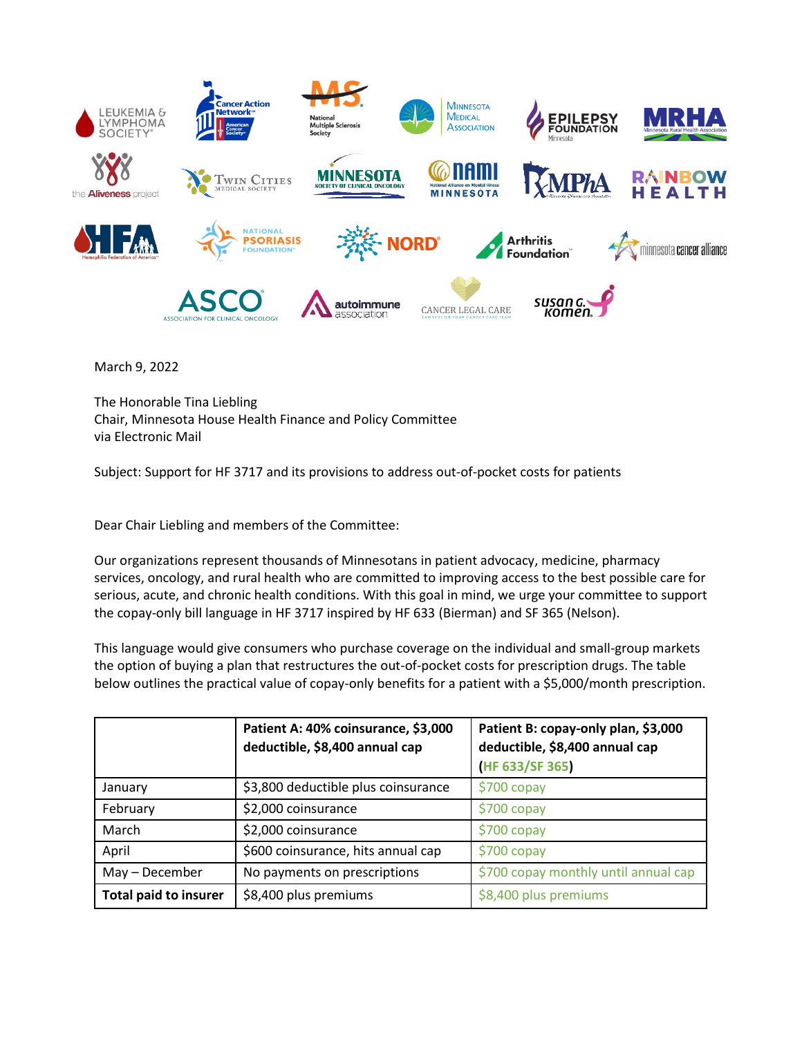

March 9, 2022

The Honorable Tina Liebling Chair, Minnesota House Health Finance and Policy Committee via Electronic Mail

Subject: Support for HF 3717 and its provisions to address out-of-pocket costs for patients

Dear Chair Liebling and members of the Committee:

Our organizations represent thousands of Minnesotans in patient advocacy, medicine, pharmacy services, oncology, and rural health who are committed to improving access to the best possible care for serious, acute, and chronic health conditions. With this goal in mind, we urge your committee to support the copay-only bill language in HF 3717 inspired by HF 633 (Bierman) and SF 365 (Nelson).

This language would give consumers who purchase coverage on the individual and small-group markets the option of buying a plan that restructures the out-of-pocket costs for prescription drugs. The table below outlines the practical value of copay-only benefits for a patient with a \$5,000/month prescription.

|                              | Patient A: 40% coinsurance, \$3,000<br>deductible, \$8,400 annual cap | Patient B: copay-only plan, \$3,000<br>deductible, \$8,400 annual cap<br>(HF 633/SF 365) |
|------------------------------|-----------------------------------------------------------------------|------------------------------------------------------------------------------------------|
| January                      | \$3,800 deductible plus coinsurance                                   | $$700$ copay                                                                             |
| February                     | \$2,000 coinsurance                                                   | $$700$ copay                                                                             |
| March                        | \$2,000 coinsurance                                                   | $$700$ copay                                                                             |
| April                        | \$600 coinsurance, hits annual cap                                    | $$700$ copay                                                                             |
| May - December               | No payments on prescriptions                                          | \$700 copay monthly until annual cap                                                     |
| <b>Total paid to insurer</b> | \$8,400 plus premiums                                                 | \$8,400 plus premiums                                                                    |